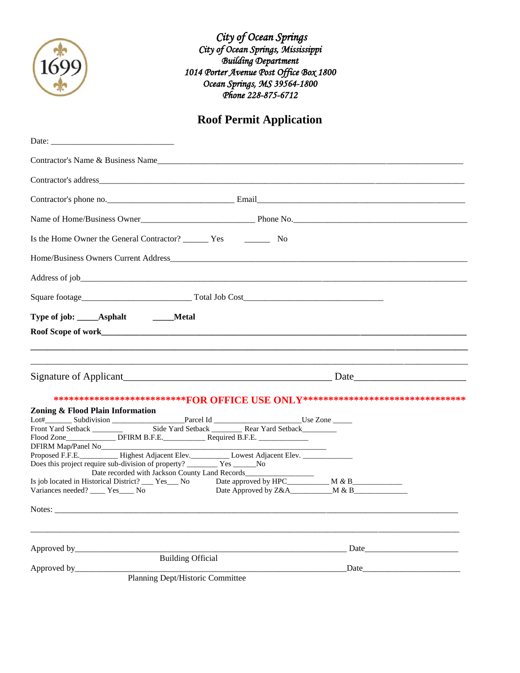

 *City of Ocean Springs City of Ocean Springs, Mississippi Building Department 1014 Porter Avenue Post Office Box 1800 Ocean Springs, MS 39564-1800 Phone 228-875-6712* 

## **Roof Permit Application**

| Contractor's Name & Business Name                                                                                                                                                                                                   |                                                                                                                                                                                                                               |  |  |  |
|-------------------------------------------------------------------------------------------------------------------------------------------------------------------------------------------------------------------------------------|-------------------------------------------------------------------------------------------------------------------------------------------------------------------------------------------------------------------------------|--|--|--|
|                                                                                                                                                                                                                                     |                                                                                                                                                                                                                               |  |  |  |
|                                                                                                                                                                                                                                     |                                                                                                                                                                                                                               |  |  |  |
|                                                                                                                                                                                                                                     |                                                                                                                                                                                                                               |  |  |  |
|                                                                                                                                                                                                                                     |                                                                                                                                                                                                                               |  |  |  |
|                                                                                                                                                                                                                                     |                                                                                                                                                                                                                               |  |  |  |
|                                                                                                                                                                                                                                     |                                                                                                                                                                                                                               |  |  |  |
| Type of job: ______Asphalt<br>______Metal                                                                                                                                                                                           |                                                                                                                                                                                                                               |  |  |  |
|                                                                                                                                                                                                                                     |                                                                                                                                                                                                                               |  |  |  |
|                                                                                                                                                                                                                                     |                                                                                                                                                                                                                               |  |  |  |
|                                                                                                                                                                                                                                     |                                                                                                                                                                                                                               |  |  |  |
| ***************************FOR OFFICE USE ONLY*********************************                                                                                                                                                     |                                                                                                                                                                                                                               |  |  |  |
| Zoning & Flood Plain Information                                                                                                                                                                                                    |                                                                                                                                                                                                                               |  |  |  |
|                                                                                                                                                                                                                                     |                                                                                                                                                                                                                               |  |  |  |
| Proposed F.F.E. Highest Adjacent Elev. Lowest Adjacent Elev. ____________________<br>Does this project require sub-division of property? ___________ Yes ________No<br>Date recorded with Jackson County Land Records______________ |                                                                                                                                                                                                                               |  |  |  |
| Is job located in Historical District? ___ Yes___ No Date approved by HPC__________ M & B__________<br>Variances needed? ____ Yes____ No                                                                                            |                                                                                                                                                                                                                               |  |  |  |
|                                                                                                                                                                                                                                     |                                                                                                                                                                                                                               |  |  |  |
| Approved by_                                                                                                                                                                                                                        | Date and the same state of the state of the state of the state of the state of the state of the state of the state of the state of the state of the state of the state of the state of the state of the state of the state of |  |  |  |
| <b>Building Official</b><br>Approved by_                                                                                                                                                                                            | Date                                                                                                                                                                                                                          |  |  |  |
| Planning Dept/Historic Committee                                                                                                                                                                                                    |                                                                                                                                                                                                                               |  |  |  |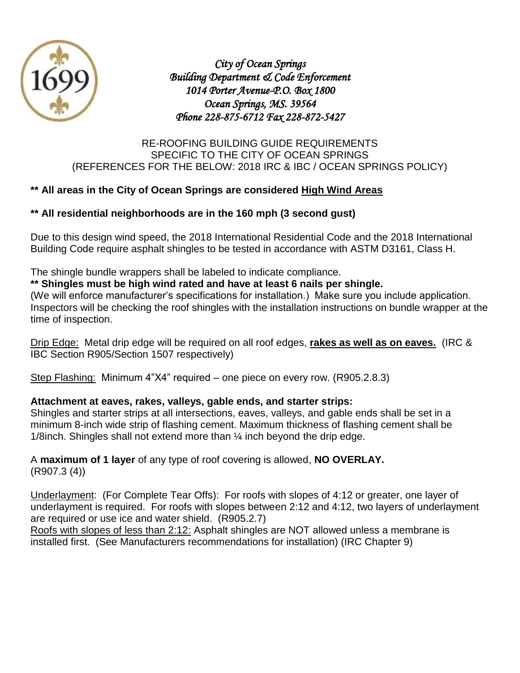

*City of Ocean Springs Building Department & Code Enforcement 1014 Porter Avenue-P.O. Box 1800 Ocean Springs, MS. 39564 Phone 228-875-6712 Fax 228-872-5427* 

#### RE-ROOFING BUILDING GUIDE REQUIREMENTS SPECIFIC TO THE CITY OF OCEAN SPRINGS (REFERENCES FOR THE BELOW: 2018 IRC & IBC / OCEAN SPRINGS POLICY)

#### **\*\* All areas in the City of Ocean Springs are considered High Wind Areas**

#### **\*\* All residential neighborhoods are in the 160 mph (3 second gust)**

Due to this design wind speed, the 2018 International Residential Code and the 2018 International Building Code require asphalt shingles to be tested in accordance with ASTM D3161, Class H.

The shingle bundle wrappers shall be labeled to indicate compliance.

#### **\*\* Shingles must be high wind rated and have at least 6 nails per shingle.**

(We will enforce manufacturer's specifications for installation.) Make sure you include application. Inspectors will be checking the roof shingles with the installation instructions on bundle wrapper at the time of inspection.

Drip Edge: Metal drip edge will be required on all roof edges, **rakes as well as on eaves.** (IRC & IBC Section R905/Section 1507 respectively)

Step Flashing: Minimum 4"X4" required – one piece on every row. (R905.2.8.3)

#### **Attachment at eaves, rakes, valleys, gable ends, and starter strips:**

Shingles and starter strips at all intersections, eaves, valleys, and gable ends shall be set in a minimum 8-inch wide strip of flashing cement. Maximum thickness of flashing cement shall be 1/8inch. Shingles shall not extend more than ¼ inch beyond the drip edge.

#### A **maximum of 1 layer** of any type of roof covering is allowed, **NO OVERLAY.** (R907.3 (4))

Underlayment: (For Complete Tear Offs): For roofs with slopes of 4:12 or greater, one layer of underlayment is required. For roofs with slopes between 2:12 and 4:12, two layers of underlayment are required or use ice and water shield. (R905.2.7)

Roofs with slopes of less than 2:12: Asphalt shingles are NOT allowed unless a membrane is installed first. (See Manufacturers recommendations for installation) (IRC Chapter 9)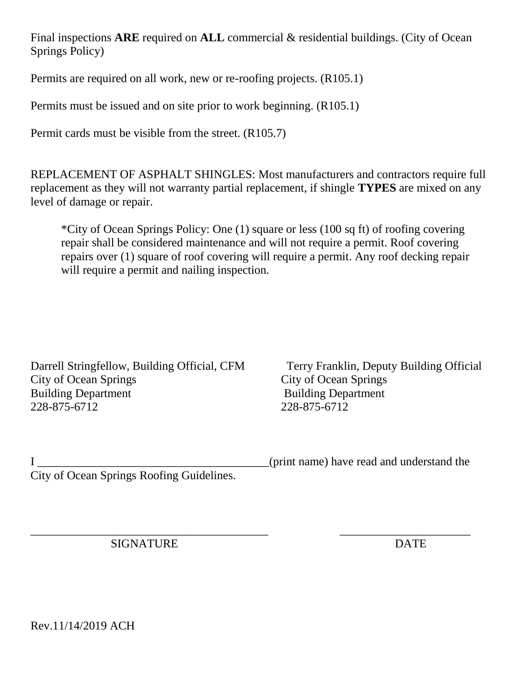Final inspections **ARE** required on **ALL** commercial & residential buildings. (City of Ocean Springs Policy)

Permits are required on all work, new or re-roofing projects. (R105.1)

Permits must be issued and on site prior to work beginning. (R105.1)

Permit cards must be visible from the street. (R105.7)

REPLACEMENT OF ASPHALT SHINGLES: Most manufacturers and contractors require full replacement as they will not warranty partial replacement, if shingle **TYPES** are mixed on any level of damage or repair.

\*City of Ocean Springs Policy: One (1) square or less (100 sq ft) of roofing covering repair shall be considered maintenance and will not require a permit. Roof covering repairs over (1) square of roof covering will require a permit. Any roof decking repair will require a permit and nailing inspection.

Darrell Stringfellow, Building Official, CFM Terry Franklin, Deputy Building Official City of Ocean Springs City of Ocean Springs Building Department Building Department 228-875-6712 228-875-6712

I Let us a set of the same set of the same of the same of the same of the same of the same of the same of the same of the same of the same of the same of the same of the same of the same of the same of the same of the same City of Ocean Springs Roofing Guidelines.

\_\_\_\_\_\_\_\_\_\_\_\_\_\_\_\_\_\_\_\_\_\_\_\_\_\_\_\_\_\_\_\_\_\_\_\_\_\_\_\_ \_\_\_\_\_\_\_\_\_\_\_\_\_\_\_\_\_\_\_\_\_\_ SIGNATURE DATE

Rev.11/14/2019 ACH